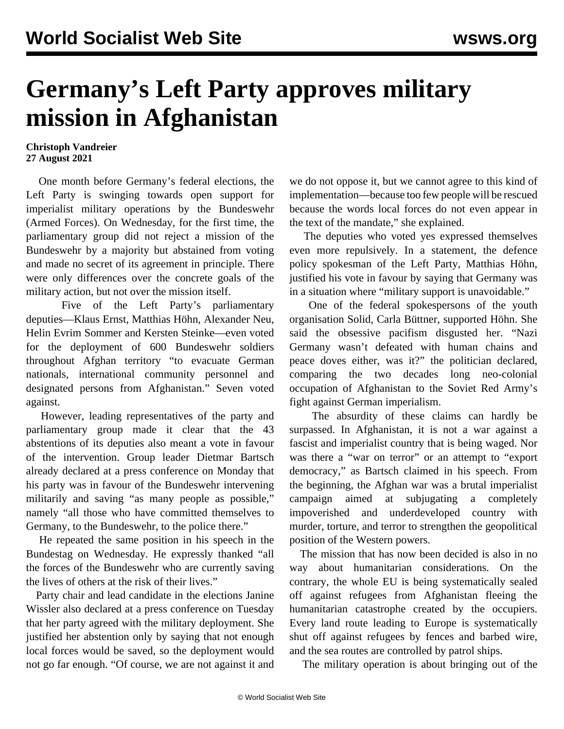## **Germany's Left Party approves military mission in Afghanistan**

## **Christoph Vandreier 27 August 2021**

 One month before Germany's federal elections, the Left Party is swinging towards open support for imperialist military operations by the Bundeswehr (Armed Forces). On Wednesday, for the first time, the parliamentary group did not reject a mission of the Bundeswehr by a majority but abstained from voting and made no secret of its agreement in principle. There were only differences over the concrete goals of the military action, but not over the mission itself.

 Five of the Left Party's parliamentary deputies—Klaus Ernst, Matthias Höhn, Alexander Neu, Helin Evrim Sommer and Kersten Steinke—even voted for the deployment of 600 Bundeswehr soldiers throughout Afghan territory "to evacuate German nationals, international community personnel and designated persons from Afghanistan." Seven voted against.

 However, leading representatives of the party and parliamentary group made it clear that the 43 abstentions of its deputies also meant a vote in favour of the intervention. Group leader Dietmar Bartsch already declared at a press conference on Monday that his party was in favour of the Bundeswehr intervening militarily and saving "as many people as possible," namely "all those who have committed themselves to Germany, to the Bundeswehr, to the police there."

 He repeated the same position in his speech in the Bundestag on Wednesday. He expressly thanked "all the forces of the Bundeswehr who are currently saving the lives of others at the risk of their lives."

 Party chair and lead candidate in the elections Janine Wissler also declared at a press conference on Tuesday that her party agreed with the military deployment. She justified her abstention only by saying that not enough local forces would be saved, so the deployment would not go far enough. "Of course, we are not against it and we do not oppose it, but we cannot agree to this kind of implementation—because too few people will be rescued because the words local forces do not even appear in the text of the mandate," she explained.

 The deputies who voted yes expressed themselves even more repulsively. In a statement, the defence policy spokesman of the Left Party, Matthias Höhn, justified his vote in favour by saying that Germany was in a situation where "military support is unavoidable."

 One of the federal spokespersons of the youth organisation Solid, Carla Büttner, supported Höhn. She said the obsessive pacifism disgusted her. "Nazi Germany wasn't defeated with human chains and peace doves either, was it?" the politician declared, comparing the two decades long neo-colonial occupation of Afghanistan to the Soviet Red Army's fight against German imperialism.

 The absurdity of these claims can hardly be surpassed. In Afghanistan, it is not a war against a fascist and imperialist country that is being waged. Nor was there a "war on terror" or an attempt to "export democracy," as Bartsch claimed in his speech. From the beginning, the Afghan war was a brutal imperialist campaign aimed at subjugating a completely impoverished and underdeveloped country with murder, torture, and terror to strengthen the geopolitical position of the Western powers.

 The mission that has now been decided is also in no way about humanitarian considerations. On the contrary, the whole EU is being systematically sealed off against refugees from Afghanistan fleeing the humanitarian catastrophe created by the occupiers. Every land route leading to Europe is systematically shut off against refugees by fences and barbed wire, and the sea routes are controlled by patrol ships.

The military operation is about bringing out of the